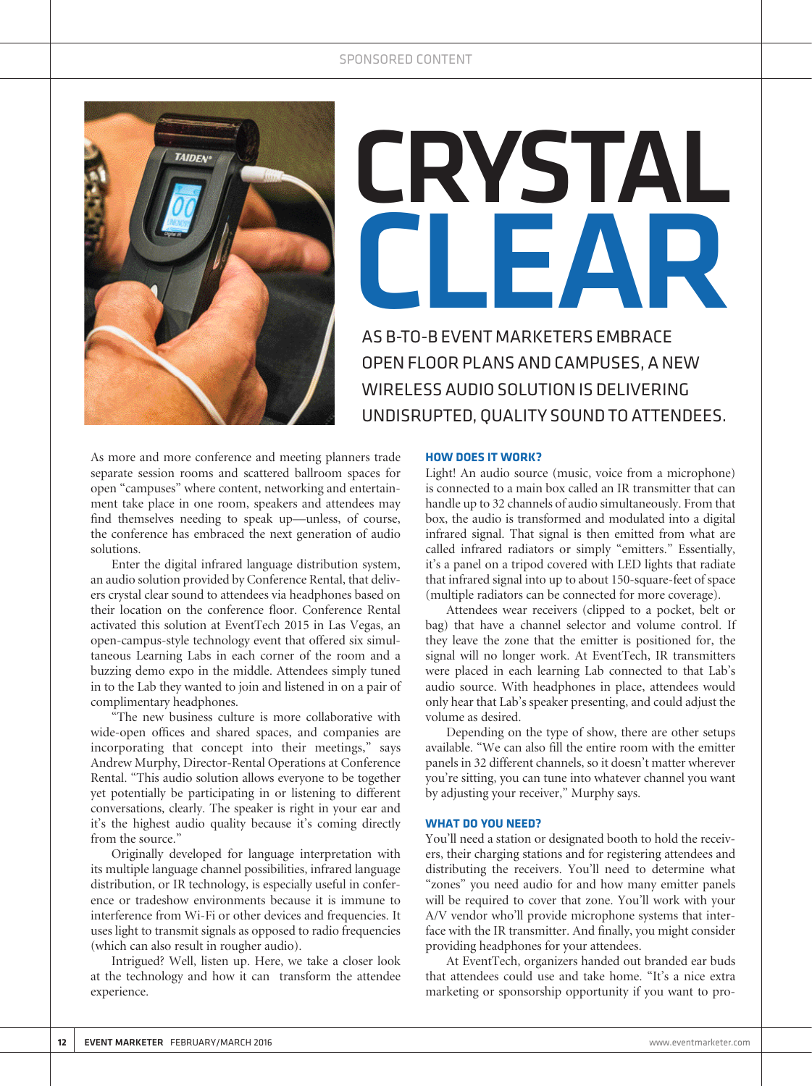

# CRYSTAL CLEAR

AS B-TO-B EVENT MARKETERS EMBRACE OPEN FLOOR PLANS AND CAMPUSES, A NEW WIRELESS AUDIO SOLUTION IS DELIVERING UNDISRUPTED, QUALITY SOUND TO ATTENDEES.

**A** anners trade

separate session rooms and scattered ballroom spaces for open "campuses" where content, networking and entertainment take place in one room, speakers and attendees may find themselves needing to speak up—unless, of course, the conference has embraced the next generation of audio solutions.

Enter the digital infrared language distribution system, an audio solution provided by Conference Rental, that delivers crystal clear sound to attendees via headphones based on their location on the conference floor. Conference Rental activated this solution at EventTech 2015 in Las Vegas, an open-campus-style technology event that offered six simultaneous Learning Labs in each corner of the room and a buzzing demo expo in the middle. Attendees simply tuned in to the Lab they wanted to join and listened in on a pair of complimentary headphones.

"The new business culture is more collaborative with wide-open offices and shared spaces, and companies are incorporating that concept into their meetings," says Andrew Murphy, Director-Rental Operations at Conference Rental. "This audio solution allows everyone to be together yet potentially be participating in or listening to different conversations, clearly. The speaker is right in your ear and it's the highest audio quality because it's coming directly from the source."

Originally developed for language interpretation with its multiple language channel possibilities, infrared language distribution, or IR technology, is especially useful in conference or tradeshow environments because it is immune to interference from Wi-Fi or other devices and frequencies. It uses light to transmit signals as opposed to radio frequencies (which can also result in rougher audio).

Intrigued? Well, listen up. Here, we take a closer look at the technology and how it can transform the attendee experience.

#### **HOW DOES IT WORK?**

Light! An audio source (music, voice from a microphone) is connected to a main box called an IR transmitter that can handle up to 32 channels of audio simultaneously. From that box, the audio is transformed and modulated into a digital infrared signal. That signal is then emitted from what are called infrared radiators or simply "emitters." Essentially, it's a panel on a tripod covered with LED lights that radiate that infrared signal into up to about 150-square-feet of space (multiple radiators can be connected for more coverage).

Attendees wear receivers (clipped to a pocket, belt or bag) that have a channel selector and volume control. If they leave the zone that the emitter is positioned for, the signal will no longer work. At EventTech, IR transmitters were placed in each learning Lab connected to that Lab's audio source. With headphones in place, attendees would only hear that Lab's speaker presenting, and could adjust the volume as desired.

Depending on the type of show, there are other setups available. "We can also fill the entire room with the emitter panels in 32 different channels, so it doesn't matter wherever you're sitting, you can tune into whatever channel you want by adjusting your receiver," Murphy says.

# **WHAT DO YOU NEED?**

You'll need a station or designated booth to hold the receivers, their charging stations and for registering attendees and distributing the receivers. You'll need to determine what "zones" you need audio for and how many emitter panels will be required to cover that zone. You'll work with your A/V vendor who'll provide microphone systems that interface with the IR transmitter. And finally, you might consider providing headphones for your attendees.

At EventTech, organizers handed out branded ear buds that attendees could use and take home. "It's a nice extra marketing or sponsorship opportunity if you want to pro